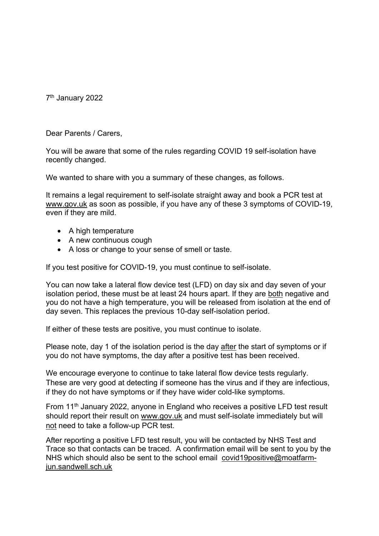7th January 2022

Dear Parents / Carers,

You will be aware that some of the rules regarding COVID 19 self-isolation have recently changed.

We wanted to share with you a summary of these changes, as follows.

It remains a legal requirement to self-isolate straight away and book a PCR test at www.gov.uk as soon as possible, if you have any of these 3 symptoms of COVID-19, even if they are mild.

- A high temperature
- A new continuous cough
- A loss or change to your sense of smell or taste.

If you test positive for COVID-19, you must continue to self-isolate.

You can now take a lateral flow device test (LFD) on day six and day seven of your isolation period, these must be at least 24 hours apart. If they are both negative and you do not have a high temperature, you will be released from isolation at the end of day seven. This replaces the previous 10-day self-isolation period.

If either of these tests are positive, you must continue to isolate.

Please note, day 1 of the isolation period is the day after the start of symptoms or if you do not have symptoms, the day after a positive test has been received.

We encourage everyone to continue to take lateral flow device tests regularly. These are very good at detecting if someone has the virus and if they are infectious, if they do not have symptoms or if they have wider cold-like symptoms.

From 11<sup>th</sup> January 2022, anyone in England who receives a positive LFD test result should report their result on www.gov.uk and must self-isolate immediately but will not need to take a follow-up PCR test.

After reporting a positive LFD test result, you will be contacted by NHS Test and Trace so that contacts can be traced. A confirmation email will be sent to you by the NHS which should also be sent to the school email covid19positive@moatfarmjun.sandwell.sch.uk